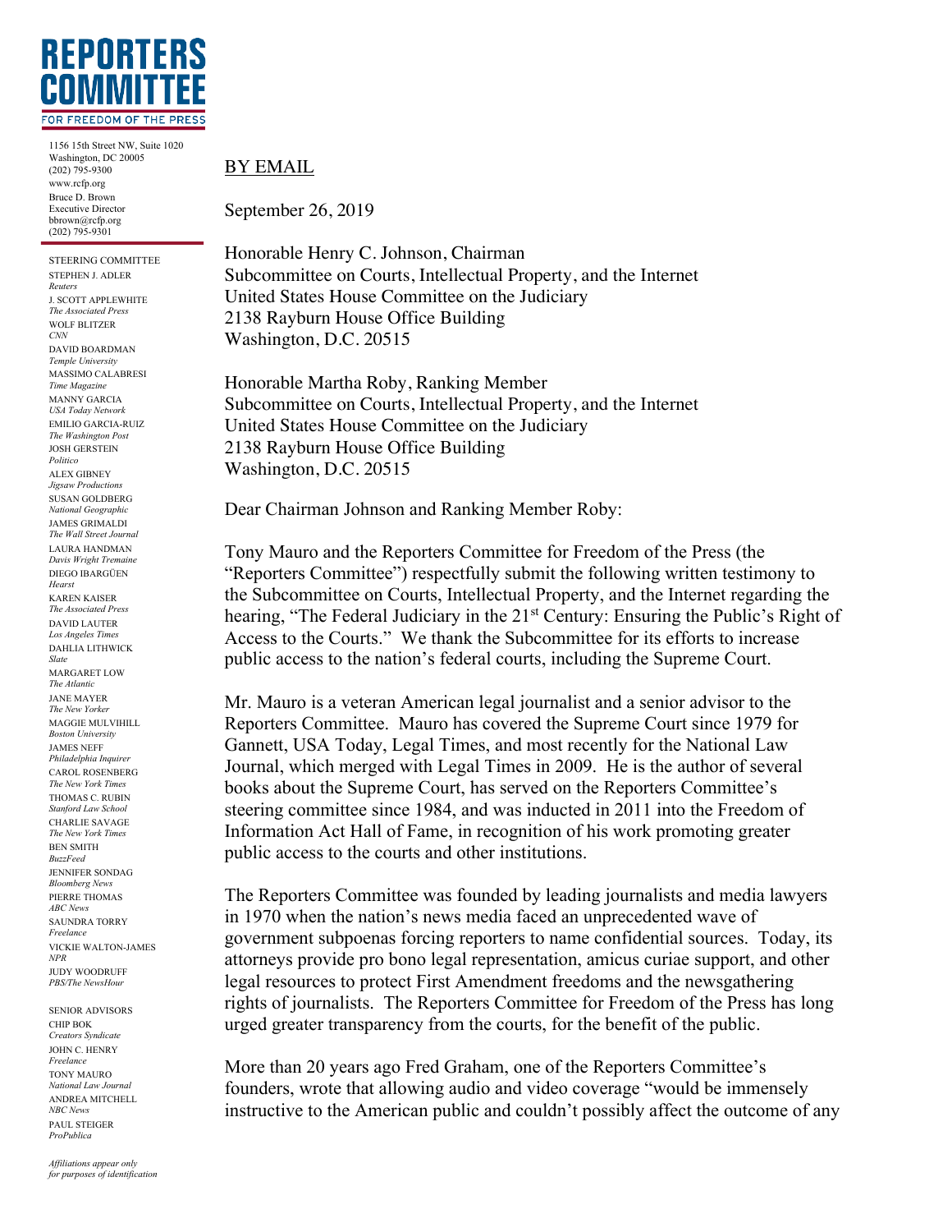

1156 15th Street NW, Suite 1020 Washington, DC 20005 (202) 795-9300 www.rcfp.org Bruce D. Brown Executive Director bbrown@rcfp.org (202) 795-9301

STEERING COMMITTEE STEPHEN J. ADLER *Reuters* J. SCOTT APPLEWHITE *The Associated Press* WOLF BLITZER *CNN* DAVID BOARDMAN *Temple University* MASSIMO CALABRESI *Time Magazine* MANNY GARCIA *USA Today Network* EMILIO GARCIA-RUIZ *The Washington Post* JOSH GERSTEIN *Politico* ALEX GIBNEY *Jigsaw Productions* SUSAN GOLDBERG *National Geographic* JAMES GRIMALDI *The Wall Street Journal* LAURA HANDMAN *Davis Wright Tremaine* DIEGO IBARGÜEN *Hearst* KAREN KAISER *The Associated Press* DAVID LAUTER *Los Angeles Times* DAHLIA LITHWICK *Slate* MARGARET LOW *The Atlantic* JANE MAYER *The New Yorker* MAGGIE MULVIHILL *Boston University* JAMES NEFF *Philadelphia Inquirer* CAROL ROSENBERG *The New York Times* THOMAS C. RUBIN *Stanford Law School* CHARLIE SAVAGE *The New York Times* BEN SMITH *BuzzFeed* JENNIFER SONDAG *Bloomberg News* PIERRE THOMAS *ABC News* SAUNDRA TORRY *Freelance* VICKIE WALTON-JAMES *NPR* JUDY WOODRUFF *PBS/The NewsHour*

SENIOR ADVISORS CHIP BOK *Creators Syndicate* JOHN C. HENRY *Freelance* TONY MAURO *National Law Journal* ANDREA MITCHELL *NBC News* PAUL STEIGER *ProPublica*

## BY EMAIL

September 26, 2019

Honorable Henry C. Johnson, Chairman Subcommittee on Courts, Intellectual Property, and the Internet United States House Committee on the Judiciary 2138 Rayburn House Office Building Washington, D.C. 20515

Honorable Martha Roby, Ranking Member Subcommittee on Courts, Intellectual Property, and the Internet United States House Committee on the Judiciary 2138 Rayburn House Office Building Washington, D.C. 20515

Dear Chairman Johnson and Ranking Member Roby:

Tony Mauro and the Reporters Committee for Freedom of the Press (the "Reporters Committee") respectfully submit the following written testimony to the Subcommittee on Courts, Intellectual Property, and the Internet regarding the hearing, "The Federal Judiciary in the 21<sup>st</sup> Century: Ensuring the Public's Right of Access to the Courts." We thank the Subcommittee for its efforts to increase public access to the nation's federal courts, including the Supreme Court.

Mr. Mauro is a veteran American legal journalist and a senior advisor to the Reporters Committee. Mauro has covered the Supreme Court since 1979 for Gannett, USA Today, Legal Times, and most recently for the National Law Journal, which merged with Legal Times in 2009. He is the author of several books about the Supreme Court, has served on the Reporters Committee's steering committee since 1984, and was inducted in 2011 into the Freedom of Information Act Hall of Fame, in recognition of his work promoting greater public access to the courts and other institutions.

The Reporters Committee was founded by leading journalists and media lawyers in 1970 when the nation's news media faced an unprecedented wave of government subpoenas forcing reporters to name confidential sources. Today, its attorneys provide pro bono legal representation, amicus curiae support, and other legal resources to protect First Amendment freedoms and the newsgathering rights of journalists. The Reporters Committee for Freedom of the Press has long urged greater transparency from the courts, for the benefit of the public.

More than 20 years ago Fred Graham, one of the Reporters Committee's founders, wrote that allowing audio and video coverage "would be immensely instructive to the American public and couldn't possibly affect the outcome of any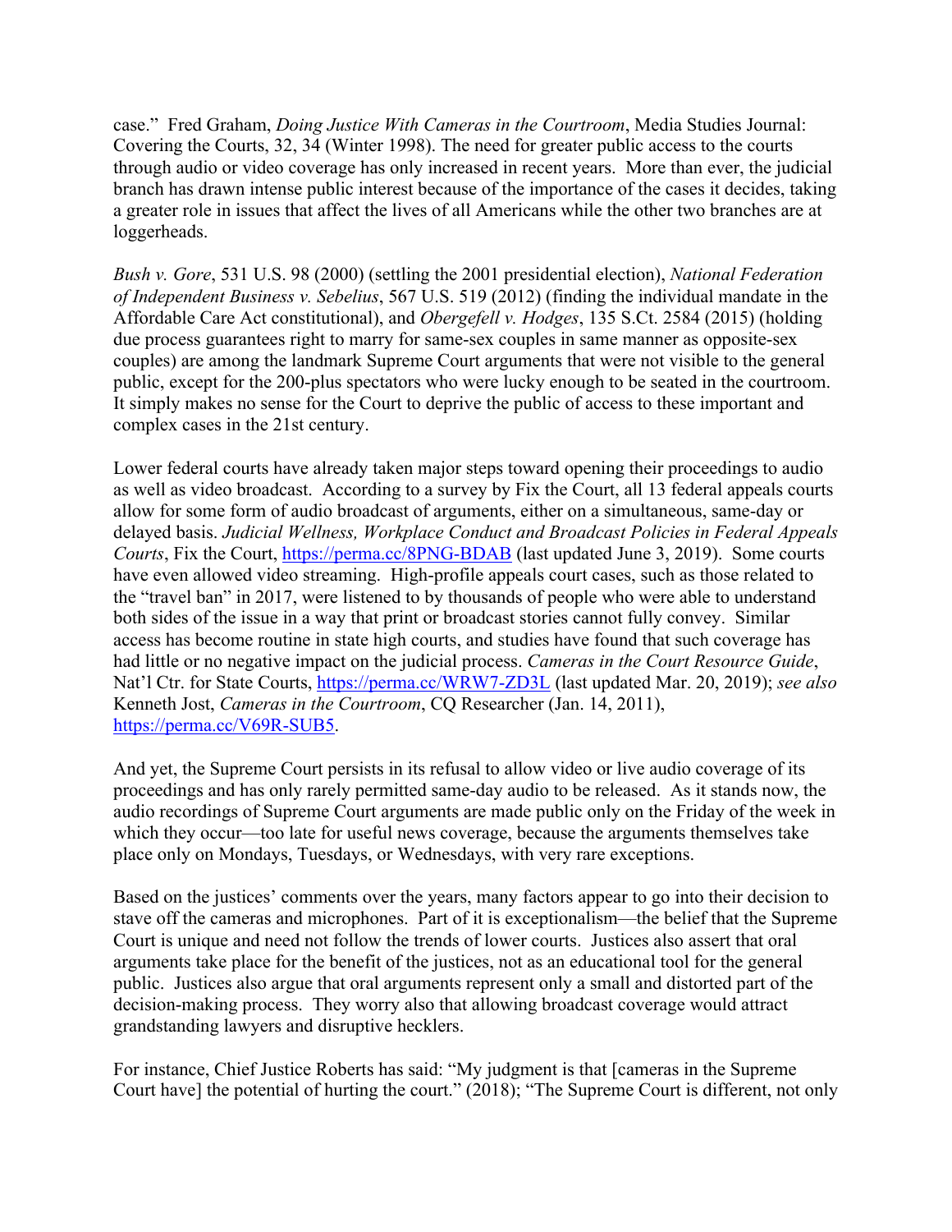case." Fred Graham, *Doing Justice With Cameras in the Courtroom*, Media Studies Journal: Covering the Courts, 32, 34 (Winter 1998). The need for greater public access to the courts through audio or video coverage has only increased in recent years. More than ever, the judicial branch has drawn intense public interest because of the importance of the cases it decides, taking a greater role in issues that affect the lives of all Americans while the other two branches are at loggerheads.

*Bush v. Gore*, 531 U.S. 98 (2000) (settling the 2001 presidential election), *National Federation of Independent Business v. Sebelius*, 567 U.S. 519 (2012) (finding the individual mandate in the Affordable Care Act constitutional), and *Obergefell v. Hodges*, 135 S.Ct. 2584 (2015) (holding due process guarantees right to marry for same-sex couples in same manner as opposite-sex couples) are among the landmark Supreme Court arguments that were not visible to the general public, except for the 200-plus spectators who were lucky enough to be seated in the courtroom. It simply makes no sense for the Court to deprive the public of access to these important and complex cases in the 21st century.

Lower federal courts have already taken major steps toward opening their proceedings to audio as well as video broadcast. According to a survey by Fix the Court, all 13 federal appeals courts allow for some form of audio broadcast of arguments, either on a simultaneous, same-day or delayed basis. *Judicial Wellness, Workplace Conduct and Broadcast Policies in Federal Appeals Courts*, Fix the Court, https://perma.cc/8PNG-BDAB (last updated June 3, 2019). Some courts have even allowed video streaming. High-profile appeals court cases, such as those related to the "travel ban" in 2017, were listened to by thousands of people who were able to understand both sides of the issue in a way that print or broadcast stories cannot fully convey. Similar access has become routine in state high courts, and studies have found that such coverage has had little or no negative impact on the judicial process. *Cameras in the Court Resource Guide*, Nat'l Ctr. for State Courts, https://perma.cc/WRW7-ZD3L (last updated Mar. 20, 2019); *see also* Kenneth Jost, *Cameras in the Courtroom*, CQ Researcher (Jan. 14, 2011), https://perma.cc/V69R-SUB5.

And yet, the Supreme Court persists in its refusal to allow video or live audio coverage of its proceedings and has only rarely permitted same-day audio to be released. As it stands now, the audio recordings of Supreme Court arguments are made public only on the Friday of the week in which they occur—too late for useful news coverage, because the arguments themselves take place only on Mondays, Tuesdays, or Wednesdays, with very rare exceptions.

Based on the justices' comments over the years, many factors appear to go into their decision to stave off the cameras and microphones. Part of it is exceptionalism—the belief that the Supreme Court is unique and need not follow the trends of lower courts. Justices also assert that oral arguments take place for the benefit of the justices, not as an educational tool for the general public. Justices also argue that oral arguments represent only a small and distorted part of the decision-making process. They worry also that allowing broadcast coverage would attract grandstanding lawyers and disruptive hecklers.

For instance, Chief Justice Roberts has said: "My judgment is that [cameras in the Supreme Court have] the potential of hurting the court." (2018); "The Supreme Court is different, not only